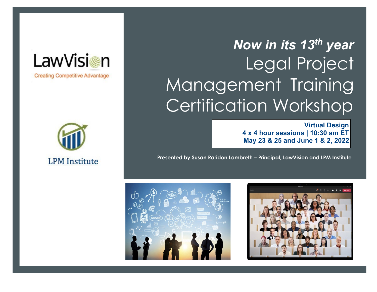# *Now in its 13 th year*  Legal Project Management Training Certification Workshop

**Virtual Design 4 x 4 hour sessions | 10:30 am ET May 23 & 25 and June 1 & 2, 2022**

**Presented by Susan Raridon Lambreth – Principal, LawVision and LPM Institute** 







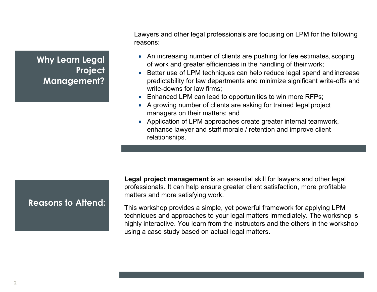**Why Learn Legal Project Management?**

Lawyers and other legal professionals are focusing on LPM for the following reasons:

- An increasing number of clients are pushing for fee estimates, scoping of work and greater efficiencies in the handling of their work;
- Better use of LPM techniques can help reduce legal spend and increase predictability for law departments and minimize significant write-offs and write-downs for law firms;
- Enhanced LPM can lead to opportunities to win more RFPs;
- A growing number of clients are asking for trained legal project managers on their matters; and
- Application of LPM approaches create greater internal teamwork, enhance lawyer and staff morale / retention and improve client relationships.

# **Reasons to Attend:**

**Legal project management** is an essential skill for lawyers and other legal professionals. It can help ensure greater client satisfaction, more profitable matters and more satisfying work.

This workshop provides a simple, yet powerful framework for applying LPM techniques and approaches to your legal matters immediately. The workshop is highly interactive. You learn from the instructors and the others in the workshop using a case study based on actual legal matters.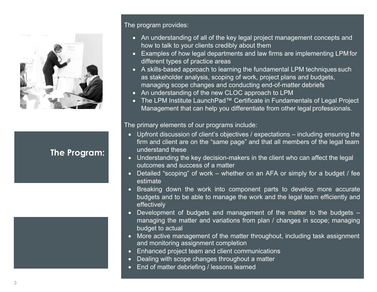

# **The Program:**



# The program provides:

- An understanding of all of the key legal project management concepts and how to talk to your clients credibly about them
- Examples of how legal departments and law firms are implementing LPM for different types of practice areas
- A skills-based approach to learning the fundamental LPM techniques such as stakeholder analysis, scoping of work, project plans and budgets, managing scope changes and conducting end-of-matter debriefs
- An understanding of the new CLOC approach to LPM
- The LPM Institute LaunchPad™ Certificate in Fundamentals of Legal Project Management that can help you differentiate from other legal professionals.

The primary elements of our programs include:

- Upfront discussion of client's objectives / expectations including ensuring the firm and client are on the "same page" and that all members of the legal team understand these
- Understanding the key decision-makers in the client who can affect the legal outcomes and success of a matter
- Detailed "scoping" of work whether on an AFA or simply for a budget / fee estimate
- Breaking down the work into component parts to develop more accurate budgets and to be able to manage the work and the legal team efficiently and effectively
- Development of budgets and management of the matter to the budgets managing the matter and variations from plan / changes in scope; managing budget to actual
- More active management of the matter throughout, including task assignment and monitoring assignment completion
- Enhanced project team and client communications
- Dealing with scope changes throughout a matter
- End of matter debriefing / lessons learned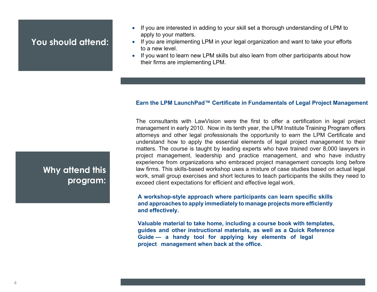# **You should attend:**

- If you are interested in adding to your skill set a thorough understanding of LPM to apply to your matters.
- If you are implementing LPM in your legal organization and want to take your efforts to a new level.
- If you want to learn new LPM skills but also learn from other participants about how their firms are implementing LPM.

### **Earn the LPM LaunchPad™ Certificate in Fundamentals of Legal Project Management**

The consultants with LawVision were the first to offer a certification in legal project management in early 2010. Now in its tenth year, the LPM Institute Training Program offers attorneys and other legal professionals the opportunity to earn the LPM Certificate and understand how to apply the essential elements of legal project management to their matters. The course is taught by leading experts who have trained over 8,000 lawyers in project management, leadership and practice management, and who have industry experience from organizations who embraced project management concepts long before law firms. This skills-based workshop uses a mixture of case studies based on actual legal work, small group exercises and short lectures to teach participants the skills they need to exceed client expectations for efficient and effective legal work.

## **A workshop-style approach where participants can learn specific skills and approaches to apply immediately to manage projects more efficiently and effectively.**

**Valuable material to take home, including a course book with templates, guides and other instructional materials, as well as a Quick Reference Guide — a handy tool for applying key elements of legal project management when back at the office.** 

# **Why attend this program:**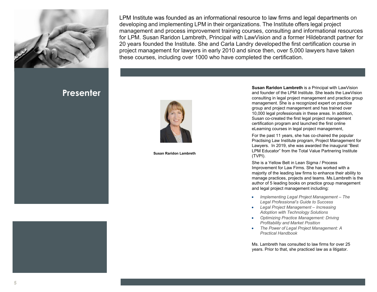

**Presenter**

LPM Institute was founded as an informational resource to law firms and legal departments on developing and implementing LPM in their organizations. The Institute offers legal project management and process improvement training courses, consulting and informational resources for LPM. Susan Raridon Lambreth, Principal with LawVision and a former Hildebrandt partner for 20 years founded the Institute. She and Carla Landry developedthe first certification course in project management for lawyers in early 2010 and since then, over 5,000 lawyers have taken these courses, including over 1000 who have completed the certification.



**Susan Raridon Lambreth** 

**Susan Raridon Lambreth** is a Principal with LawVision and founder of the LPM Institute. She leads the LawVision consulting in legal project management and practice group management. She is a recognized expert on practice group and project management and has trained over 10,000 legal professionals in these areas. In addition, Susan co-created the first legal project management certification program and launched the first online eLearning courses in legal project management,

For the past 11 years, she has co-chaired the popular Practising Law Institute program, Project Management for Lawyers. In 2019, she was awarded the inaugural "Best LPM Educator" from the Total Value Partnering Institute (TVPI).

She is a Yellow Belt in Lean Sigma / Process Improvement for Law Firms. She has worked with a majority of the leading law firms to enhance their ability to manage practices, projects and teams. Ms.Lambreth is the author of 5 leading books on practice group management and legal project management including:

- *Implementing Legal Project Management The Legal Professional's Guide to Success*
- *Legal Project Management Increasing Adoption with Technology Solutions*
- *Optimizing Practice Management: Driving Profitability and Market Position*
- *The Power of Legal Project Management: A Practical Handbook*

Ms. Lambreth has consulted to law firms for over 25 years. Prior to that, she practiced law as a litigator.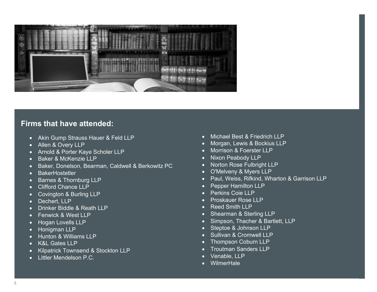

# **Firms that have attended:**

- Akin Gump Strauss Hauer & Feld LLP
- Allen & Overy LLP
- Arnold & Porter Kaye Scholer LLP
- Baker & McKenzie LLP
- Baker, Donelson, Bearman, Caldwell & Berkowitz PC
- BakerHostetler
- Barnes & Thornburg LLP
- Clifford Chance LLP
- Covington & Burling LLP
- Dechert, LLP
- Drinker Biddle & Reath LLP
- Fenwick & West LLP
- Hogan Lovells LLP
- Honigman LLP
- Hunton & Williams LLP
- K&L Gates LLP
- Kilpatrick Townsend & Stockton LLP
- Littler Mendelson P.C.
- Michael Best & Friedrich LLP
- Morgan, Lewis & Bockius LLP
- Morrison & Foerster LLP
- Nixon Peabody LLP
- Norton Rose Fulbright LLP
- O'Melveny & Myers LLP
- Paul, Weiss, Rifkind, Wharton & Garrison LLP
- Pepper Hamilton LLP
- Perkins Coie LLP
- Proskauer Rose LLP
- **Reed Smith LLP**
- Shearman & Sterling LLP
- Simpson, Thacher & Bartlett, LLP
- Steptoe & Johnson LLP
- Sullivan & Cromwell LLP
- Thompson Coburn LLP
- Troutman Sanders LLP
- Venable, LLP
- WilmerHale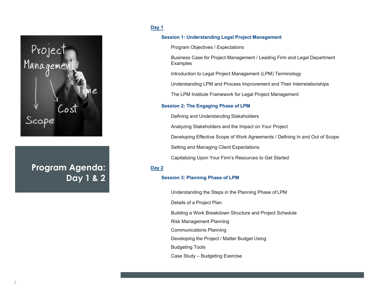

**Program Agenda: Day 1 & 2**

#### **Day 1**

#### **Session 1: Understanding Legal Project Management**

Program Objectives / Expectations

Business Case for Project Management / Leading Firm and Legal Department Examples

Introduction to Legal Project Management (LPM) Terminology

Understanding LPM and Process Improvement and Their Interrelationships

The LPM Institute Framework for Legal Project Management

#### **Session 2: The Engaging Phase of LPM**

Defining and Understanding Stakeholders

Analyzing Stakeholders and the Impact on Your Project

Developing Effective Scope of Work Agreements / Defining In and Out of Scope

Setting and Managing Client Expectations

Capitalizing Upon Your Firm's Resources to Get Started

#### **Day 2**

#### **Session 3: Planning Phase of LPM**

Understanding the Steps in the Planning Phase of LPM

Details of a Project Plan

Building a Work Breakdown Structure and Project Schedule

Risk Management Planning

Communications Planning

Developing the Project / Matter Budget Using

Budgeting Tools

Case Study – Budgeting Exercise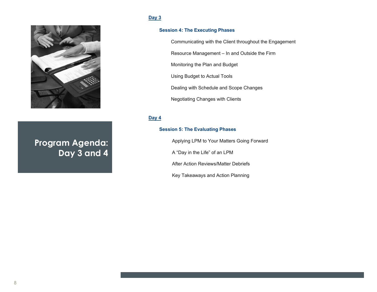## **Day 3**



# **Program Agenda: Day 3 and 4**

#### **Session 4: The Executing Phases**

Communicating with the Client throughout the Engagement

Resource Management – In and Outside the Firm

Monitoring the Plan and Budget

Using Budget to Actual Tools

Dealing with Schedule and Scope Changes

Negotiating Changes with Clients

#### **Day 4**

#### **Session 5: The Evaluating Phases**

Applying LPM to Your Matters Going Forward

A "Day in the Life" of an LPM

After Action Reviews/Matter Debriefs

Key Takeaways and Action Planning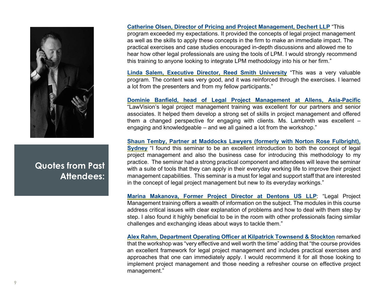

**Quotes from Past Attendees:**

**Catherine Olsen, Director of Pricing and Project Management, Dechert LLP** "This program exceeded my expectations. It provided the concepts of legal project management as well as the skills to apply these concepts in the firm to make an immediate impact. The practical exercises and case studies encouraged in-depth discussions and allowed me to hear how other legal professionals are using the tools of LPM. I would strongly recommend this training to anyone looking to integrate LPM methodology into his or her firm."

**Linda Salem, Executive Director, Reed Smith University** "This was a very valuable program. The content was very good, and it was reinforced through the exercises. I learned a lot from the presenters and from my fellow participants."

**Dominie Banfield, head of Legal Project Management at Allens, Asia-Pacific** "LawVision's legal project management training was excellent for our partners and senior associates. It helped them develop a strong set of skills in project management and offered them a changed perspective for engaging with clients. Ms. Lambreth was excellent – engaging and knowledgeable – and we all gained a lot from the workshop."

**Shaun Temby, Partner at Maddocks Lawyers (formerly with Norton Rose Fulbright), Sydney** "I found this seminar to be an excellent introduction to both the concept of legal project management and also the business case for introducing this methodology to my practice. The seminar had a strong practical component and attendees will leave the seminar with a suite of tools that they can apply in their everyday working life to improve their project management capabilities. This seminar is a must for legal and support staff that are interested in the concept of legal project management but new to its everyday workings."

**Marina Makanova, Former Project Director at Dentons US LLP**: "Legal Project Management training offers a wealth of information on the subject. The modules in this course address critical issues with clear explanation of problems and how to deal with them step by step. I also found it highly beneficial to be in the room with other professionals facing similar challenges and exchanging ideas about ways to tackle them."

**Alex Rahm, Department Operating Officer at Kilpatrick Townsend & Stockton** remarked that the workshop was "very effective and well worth the time" adding that "the course provides an excellent framework for legal project management and includes practical exercises and approaches that one can immediately apply. I would recommend it for all those looking to implement project management and those needing a refresher course on effective project management."